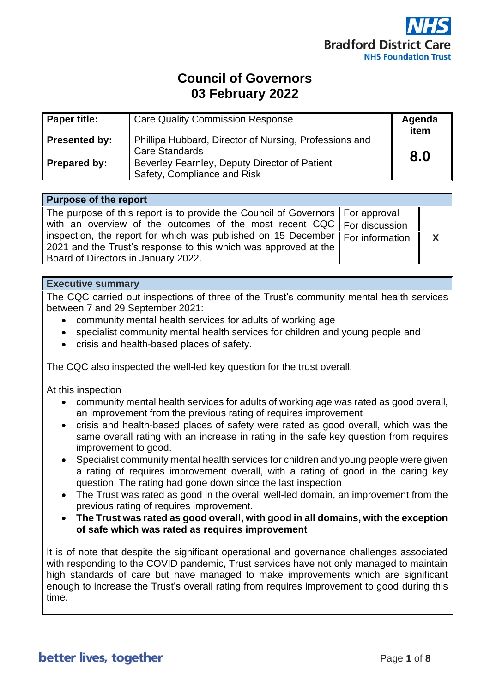

# **Council of Governors 03 February 2022**

| <b>Paper title:</b>  | <b>Care Quality Commission Response</b>                                         | Agenda<br>item |
|----------------------|---------------------------------------------------------------------------------|----------------|
| <b>Presented by:</b> | Phillipa Hubbard, Director of Nursing, Professions and<br><b>Care Standards</b> | 8.0            |
| Prepared by:         | Beverley Fearnley, Deputy Director of Patient<br>Safety, Compliance and Risk    |                |

#### **Purpose of the report**

| The purpose of this report is to provide the Council of Governors For approval                        |  |
|-------------------------------------------------------------------------------------------------------|--|
| with an overview of the outcomes of the most recent $CQC$ For discussion                              |  |
| inspection, the report for which was published on 15 December $F_{\text{C}}$ information $\mathbb{R}$ |  |
| 2021 and the Trust's response to this which was approved at the $\parallel$                           |  |
| Board of Directors in January 2022.                                                                   |  |

#### **Executive summary**

The CQC carried out inspections of three of the Trust's community mental health services between 7 and 29 September 2021:

- community mental health services for adults of working age
- specialist community mental health services for children and young people and
- crisis and health-based places of safety.

The CQC also inspected the well-led key question for the trust overall.

At this inspection

- community mental health services for adults of working age was rated as good overall, an improvement from the previous rating of requires improvement
- crisis and health-based places of safety were rated as good overall, which was the same overall rating with an increase in rating in the safe key question from requires improvement to good.
- Specialist community mental health services for children and young people were given a rating of requires improvement overall, with a rating of good in the caring key question. The rating had gone down since the last inspection
- The Trust was rated as good in the overall well-led domain, an improvement from the previous rating of requires improvement.
- **The Trust was rated as good overall, with good in all domains, with the exception of safe which was rated as requires improvement**

It is of note that despite the significant operational and governance challenges associated with responding to the COVID pandemic. Trust services have not only managed to maintain high standards of care but have managed to make improvements which are significant enough to increase the Trust's overall rating from requires improvement to good during this time.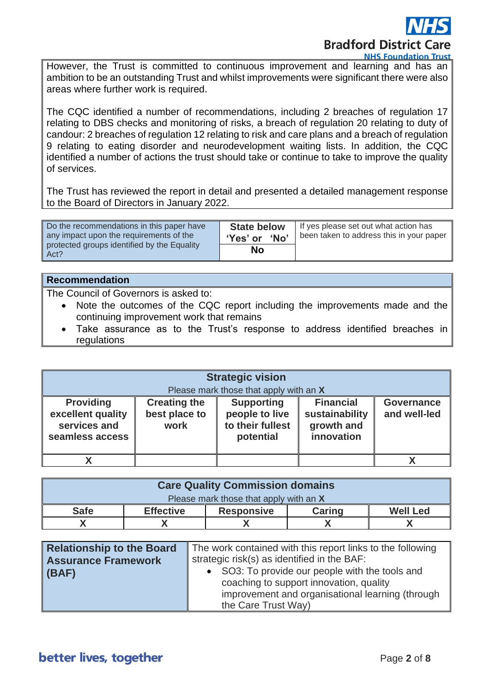

However, the Trust is committed to continuous improvement and learning and has an ambition to be an outstanding Trust and whilst improvements were significant there were also areas where further work is required.

The CQC identified a number of recommendations, including 2 breaches of regulation 17 relating to DBS checks and monitoring of risks, a breach of regulation 20 relating to duty of candour: 2 breaches of regulation 12 relating to risk and care plans and a breach of regulation 9 relating to eating disorder and neurodevelopment waiting lists. In addition, the CQC identified a number of actions the trust should take or continue to take to improve the quality of services.

The Trust has reviewed the report in detail and presented a detailed management response to the Board of Directors in January 2022.

| Do the recommendations in this paper have<br>any impact upon the requirements of the<br>protected groups identified by the Equality<br>Act? | <b>State below</b><br>'Yes' or<br><b>No</b> | If yes please set out what action has<br>been taken to address this in your paper |
|---------------------------------------------------------------------------------------------------------------------------------------------|---------------------------------------------|-----------------------------------------------------------------------------------|
|                                                                                                                                             | No                                          |                                                                                   |

#### **Recommendation**

The Council of Governors is asked to:

- Note the outcomes of the CQC report including the improvements made and the continuing improvement work that remains
- Take assurance as to the Trust's response to address identified breaches in regulations

| <b>Strategic vision</b>                                                                                                                                                                                                                                                                                                                           |  |  |  |  |
|---------------------------------------------------------------------------------------------------------------------------------------------------------------------------------------------------------------------------------------------------------------------------------------------------------------------------------------------------|--|--|--|--|
| Please mark those that apply with an X<br><b>Providing</b><br><b>Financial</b><br><b>Creating the</b><br><b>Supporting</b><br><b>Governance</b><br>excellent quality<br>best place to<br>people to live<br>sustainability<br>and well-led<br>to their fullest<br>services and<br>work<br>growth and<br>innovation<br>seamless access<br>potential |  |  |  |  |
|                                                                                                                                                                                                                                                                                                                                                   |  |  |  |  |

| <b>Care Quality Commission domains</b> |                  |                   |               |                 |
|----------------------------------------|------------------|-------------------|---------------|-----------------|
| Please mark those that apply with an X |                  |                   |               |                 |
| <b>Safe</b>                            | <b>Effective</b> | <b>Responsive</b> | <b>Caring</b> | <b>Well Led</b> |
|                                        |                  |                   |               |                 |

| Relationship to the Board | The work contained with this report links to the following |  |
|---------------------------|------------------------------------------------------------|--|
| Assurance Framework       | strategic risk(s) as identified in the BAF:                |  |
| $ $ (BAF)                 | • SO3: To provide our people with the tools and            |  |
|                           | coaching to support innovation, quality                    |  |
|                           | improvement and organisational learning (through           |  |
|                           | the Care Trust Way)                                        |  |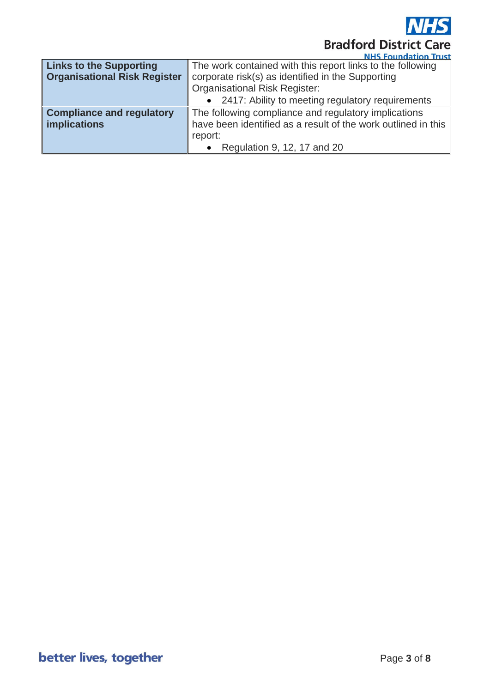

|                                     | <u>NHS FOUNDALION INSU</u>                                                                                            |  |
|-------------------------------------|-----------------------------------------------------------------------------------------------------------------------|--|
| <b>Links to the Supporting</b>      | The work contained with this report links to the following                                                            |  |
| <b>Organisational Risk Register</b> | corporate risk(s) as identified in the Supporting                                                                     |  |
|                                     | <b>Organisational Risk Register:</b>                                                                                  |  |
|                                     | • 2417: Ability to meeting regulatory requirements                                                                    |  |
| <b>Compliance and regulatory</b>    |                                                                                                                       |  |
| <b>implications</b>                 | The following compliance and regulatory implications<br>have been identified as a result of the work outlined in this |  |
|                                     | report:                                                                                                               |  |
|                                     | Regulation 9, 12, 17 and 20                                                                                           |  |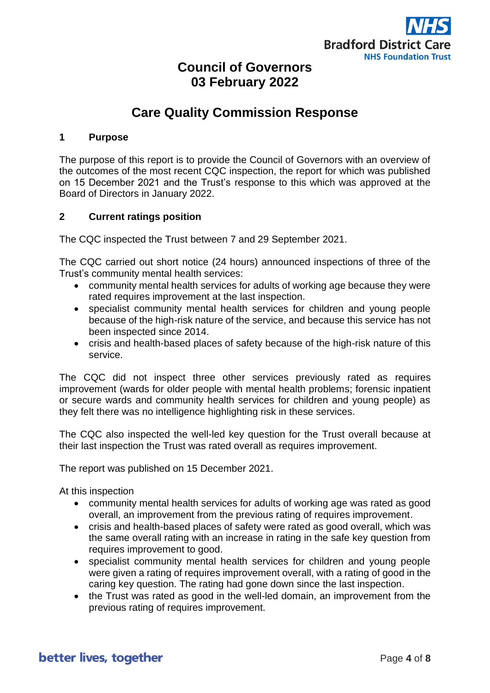

## **Council of Governors 03 February 2022**

# **Care Quality Commission Response**

#### **1 Purpose**

The purpose of this report is to provide the Council of Governors with an overview of the outcomes of the most recent CQC inspection, the report for which was published on 15 December 2021 and the Trust's response to this which was approved at the Board of Directors in January 2022.

#### **2 Current ratings position**

The CQC inspected the Trust between 7 and 29 September 2021.

The CQC carried out short notice (24 hours) announced inspections of three of the Trust's community mental health services:

- community mental health services for adults of working age because they were rated requires improvement at the last inspection.
- specialist community mental health services for children and young people because of the high-risk nature of the service, and because this service has not been inspected since 2014.
- crisis and health-based places of safety because of the high-risk nature of this service.

The CQC did not inspect three other services previously rated as requires improvement (wards for older people with mental health problems; forensic inpatient or secure wards and community health services for children and young people) as they felt there was no intelligence highlighting risk in these services.

The CQC also inspected the well-led key question for the Trust overall because at their last inspection the Trust was rated overall as requires improvement.

The report was published on 15 December 2021.

At this inspection

- community mental health services for adults of working age was rated as good overall, an improvement from the previous rating of requires improvement.
- crisis and health-based places of safety were rated as good overall, which was the same overall rating with an increase in rating in the safe key question from requires improvement to good.
- specialist community mental health services for children and young people were given a rating of requires improvement overall, with a rating of good in the caring key question. The rating had gone down since the last inspection.
- the Trust was rated as good in the well-led domain, an improvement from the previous rating of requires improvement.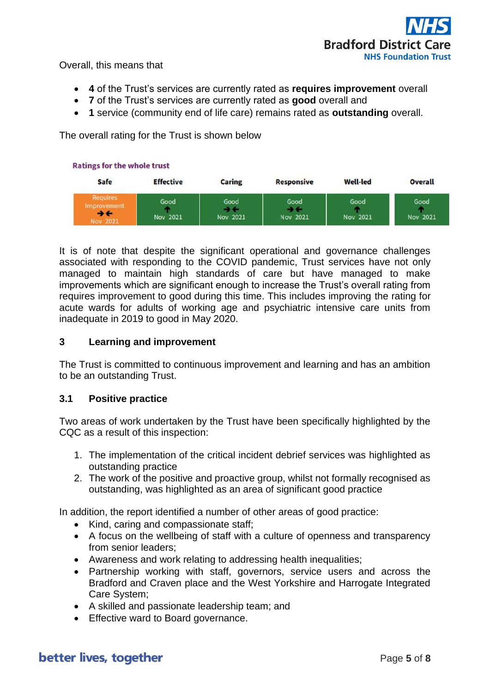

Overall, this means that

- **4** of the Trust's services are currently rated as **requires improvement** overall
- **7** of the Trust's services are currently rated as **good** overall and
- **1** service (community end of life care) remains rated as **outstanding** overall.

The overall rating for the Trust is shown below



It is of note that despite the significant operational and governance challenges associated with responding to the COVID pandemic, Trust services have not only managed to maintain high standards of care but have managed to make improvements which are significant enough to increase the Trust's overall rating from requires improvement to good during this time. This includes improving the rating for acute wards for adults of working age and psychiatric intensive care units from inadequate in 2019 to good in May 2020.

#### **3 Learning and improvement**

The Trust is committed to continuous improvement and learning and has an ambition to be an outstanding Trust.

#### **3.1 Positive practice**

Two areas of work undertaken by the Trust have been specifically highlighted by the CQC as a result of this inspection:

- 1. The implementation of the critical incident debrief services was highlighted as outstanding practice
- 2. The work of the positive and proactive group, whilst not formally recognised as outstanding, was highlighted as an area of significant good practice

In addition, the report identified a number of other areas of good practice:

- Kind, caring and compassionate staff;
- A focus on the wellbeing of staff with a culture of openness and transparency from senior leaders;
- Awareness and work relating to addressing health inequalities;
- Partnership working with staff, governors, service users and across the Bradford and Craven place and the West Yorkshire and Harrogate Integrated Care System;
- A skilled and passionate leadership team; and
- Effective ward to Board governance.

### better lives, together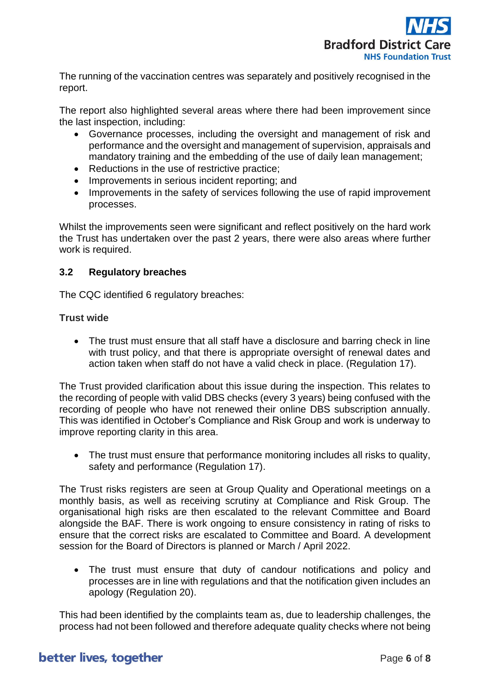

The running of the vaccination centres was separately and positively recognised in the report.

The report also highlighted several areas where there had been improvement since the last inspection, including:

- Governance processes, including the oversight and management of risk and performance and the oversight and management of supervision, appraisals and mandatory training and the embedding of the use of daily lean management;
- Reductions in the use of restrictive practice:
- Improvements in serious incident reporting: and
- Improvements in the safety of services following the use of rapid improvement processes.

Whilst the improvements seen were significant and reflect positively on the hard work the Trust has undertaken over the past 2 years, there were also areas where further work is required.

#### **3.2 Regulatory breaches**

The CQC identified 6 regulatory breaches:

#### **Trust wide**

• The trust must ensure that all staff have a disclosure and barring check in line with trust policy, and that there is appropriate oversight of renewal dates and action taken when staff do not have a valid check in place. (Regulation 17).

The Trust provided clarification about this issue during the inspection. This relates to the recording of people with valid DBS checks (every 3 years) being confused with the recording of people who have not renewed their online DBS subscription annually. This was identified in October's Compliance and Risk Group and work is underway to improve reporting clarity in this area.

• The trust must ensure that performance monitoring includes all risks to quality, safety and performance (Regulation 17).

The Trust risks registers are seen at Group Quality and Operational meetings on a monthly basis, as well as receiving scrutiny at Compliance and Risk Group. The organisational high risks are then escalated to the relevant Committee and Board alongside the BAF. There is work ongoing to ensure consistency in rating of risks to ensure that the correct risks are escalated to Committee and Board. A development session for the Board of Directors is planned or March / April 2022.

• The trust must ensure that duty of candour notifications and policy and processes are in line with regulations and that the notification given includes an apology (Regulation 20).

This had been identified by the complaints team as, due to leadership challenges, the process had not been followed and therefore adequate quality checks where not being

### better lives, together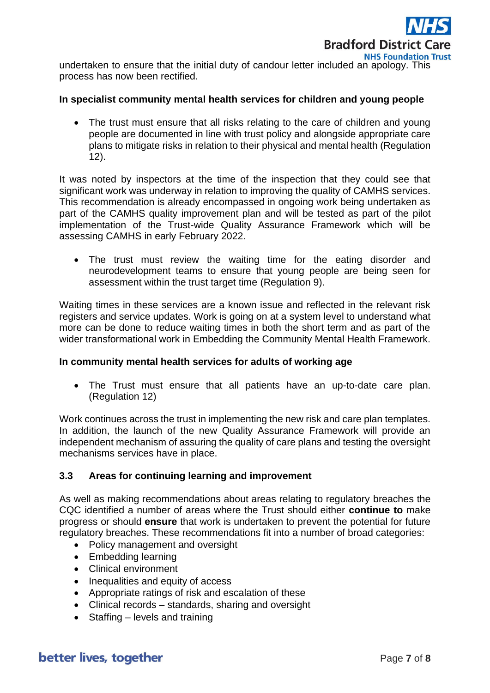

undertaken to ensure that the initial duty of candour letter included an apology. This process has now been rectified.

#### **In specialist community mental health services for children and young people**

• The trust must ensure that all risks relating to the care of children and young people are documented in line with trust policy and alongside appropriate care plans to mitigate risks in relation to their physical and mental health (Regulation 12).

It was noted by inspectors at the time of the inspection that they could see that significant work was underway in relation to improving the quality of CAMHS services. This recommendation is already encompassed in ongoing work being undertaken as part of the CAMHS quality improvement plan and will be tested as part of the pilot implementation of the Trust-wide Quality Assurance Framework which will be assessing CAMHS in early February 2022.

• The trust must review the waiting time for the eating disorder and neurodevelopment teams to ensure that young people are being seen for assessment within the trust target time (Regulation 9).

Waiting times in these services are a known issue and reflected in the relevant risk registers and service updates. Work is going on at a system level to understand what more can be done to reduce waiting times in both the short term and as part of the wider transformational work in Embedding the Community Mental Health Framework.

#### **In community mental health services for adults of working age**

• The Trust must ensure that all patients have an up-to-date care plan. (Regulation 12)

Work continues across the trust in implementing the new risk and care plan templates. In addition, the launch of the new Quality Assurance Framework will provide an independent mechanism of assuring the quality of care plans and testing the oversight mechanisms services have in place.

#### **3.3 Areas for continuing learning and improvement**

As well as making recommendations about areas relating to regulatory breaches the CQC identified a number of areas where the Trust should either **continue to** make progress or should **ensure** that work is undertaken to prevent the potential for future regulatory breaches. These recommendations fit into a number of broad categories:

- Policy management and oversight
- Embedding learning
- Clinical environment
- Inequalities and equity of access
- Appropriate ratings of risk and escalation of these
- Clinical records standards, sharing and oversight
- Staffing levels and training

### better lives, together